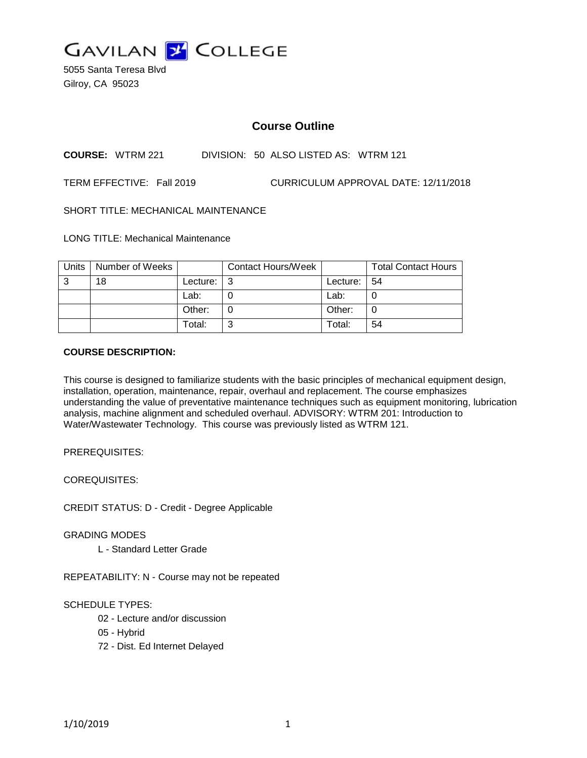

5055 Santa Teresa Blvd Gilroy, CA 95023

# **Course Outline**

**COURSE:** WTRM 221 DIVISION: 50 ALSO LISTED AS: WTRM 121

TERM EFFECTIVE: Fall 2019 CURRICULUM APPROVAL DATE: 12/11/2018

SHORT TITLE: MECHANICAL MAINTENANCE

LONG TITLE: Mechanical Maintenance

| Units | Number of Weeks |          | <b>Contact Hours/Week</b> |          | <b>Total Contact Hours</b> |
|-------|-----------------|----------|---------------------------|----------|----------------------------|
| 3     | 18              | Lecture: | l 3                       | Lecture: | -54                        |
|       |                 | Lab:     |                           | Lab:     |                            |
|       |                 | Other:   |                           | Other:   |                            |
|       |                 | Total:   | 2                         | Total:   | 54                         |

### **COURSE DESCRIPTION:**

This course is designed to familiarize students with the basic principles of mechanical equipment design, installation, operation, maintenance, repair, overhaul and replacement. The course emphasizes understanding the value of preventative maintenance techniques such as equipment monitoring, lubrication analysis, machine alignment and scheduled overhaul. ADVISORY: WTRM 201: Introduction to Water/Wastewater Technology. This course was previously listed as WTRM 121.

PREREQUISITES:

COREQUISITES:

CREDIT STATUS: D - Credit - Degree Applicable

GRADING MODES

L - Standard Letter Grade

REPEATABILITY: N - Course may not be repeated

SCHEDULE TYPES:

02 - Lecture and/or discussion

- 05 Hybrid
- 72 Dist. Ed Internet Delayed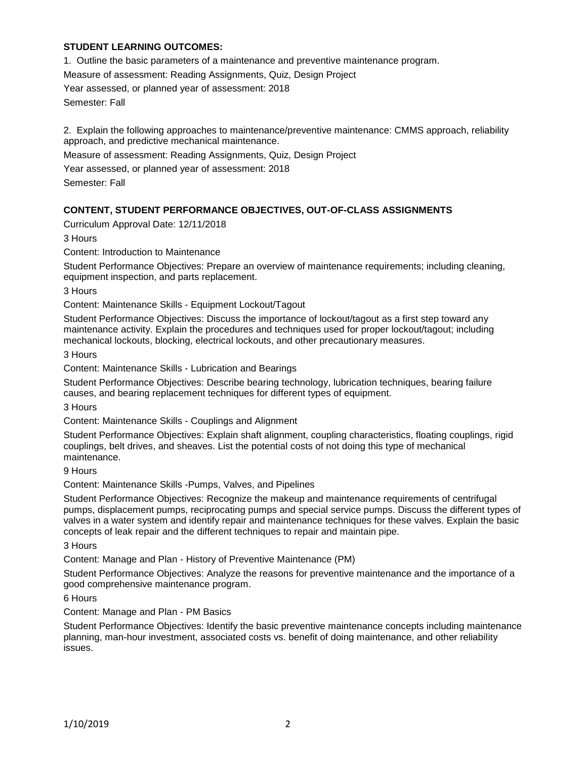## **STUDENT LEARNING OUTCOMES:**

1. Outline the basic parameters of a maintenance and preventive maintenance program.

Measure of assessment: Reading Assignments, Quiz, Design Project

Year assessed, or planned year of assessment: 2018

Semester: Fall

2. Explain the following approaches to maintenance/preventive maintenance: CMMS approach, reliability approach, and predictive mechanical maintenance.

Measure of assessment: Reading Assignments, Quiz, Design Project

Year assessed, or planned year of assessment: 2018

Semester: Fall

## **CONTENT, STUDENT PERFORMANCE OBJECTIVES, OUT-OF-CLASS ASSIGNMENTS**

Curriculum Approval Date: 12/11/2018

3 Hours

Content: Introduction to Maintenance

Student Performance Objectives: Prepare an overview of maintenance requirements; including cleaning, equipment inspection, and parts replacement.

3 Hours

Content: Maintenance Skills - Equipment Lockout/Tagout

Student Performance Objectives: Discuss the importance of lockout/tagout as a first step toward any maintenance activity. Explain the procedures and techniques used for proper lockout/tagout; including mechanical lockouts, blocking, electrical lockouts, and other precautionary measures.

3 Hours

Content: Maintenance Skills - Lubrication and Bearings

Student Performance Objectives: Describe bearing technology, lubrication techniques, bearing failure causes, and bearing replacement techniques for different types of equipment.

3 Hours

Content: Maintenance Skills - Couplings and Alignment

Student Performance Objectives: Explain shaft alignment, coupling characteristics, floating couplings, rigid couplings, belt drives, and sheaves. List the potential costs of not doing this type of mechanical maintenance.

9 Hours

Content: Maintenance Skills -Pumps, Valves, and Pipelines

Student Performance Objectives: Recognize the makeup and maintenance requirements of centrifugal pumps, displacement pumps, reciprocating pumps and special service pumps. Discuss the different types of valves in a water system and identify repair and maintenance techniques for these valves. Explain the basic concepts of leak repair and the different techniques to repair and maintain pipe.

3 Hours

Content: Manage and Plan - History of Preventive Maintenance (PM)

Student Performance Objectives: Analyze the reasons for preventive maintenance and the importance of a good comprehensive maintenance program.

6 Hours

Content: Manage and Plan - PM Basics

Student Performance Objectives: Identify the basic preventive maintenance concepts including maintenance planning, man-hour investment, associated costs vs. benefit of doing maintenance, and other reliability issues.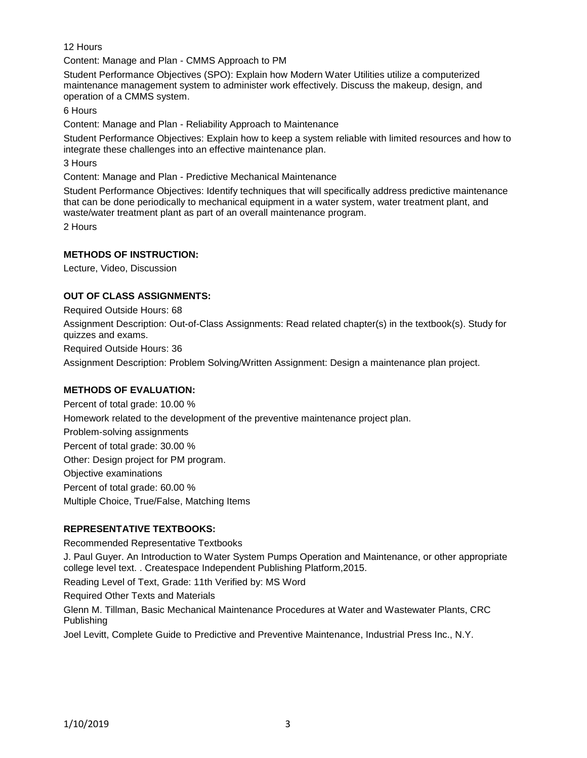12 Hours

Content: Manage and Plan - CMMS Approach to PM

Student Performance Objectives (SPO): Explain how Modern Water Utilities utilize a computerized maintenance management system to administer work effectively. Discuss the makeup, design, and operation of a CMMS system.

6 Hours

Content: Manage and Plan - Reliability Approach to Maintenance

Student Performance Objectives: Explain how to keep a system reliable with limited resources and how to integrate these challenges into an effective maintenance plan.

3 Hours

Content: Manage and Plan - Predictive Mechanical Maintenance

Student Performance Objectives: Identify techniques that will specifically address predictive maintenance that can be done periodically to mechanical equipment in a water system, water treatment plant, and waste/water treatment plant as part of an overall maintenance program.

2 Hours

## **METHODS OF INSTRUCTION:**

Lecture, Video, Discussion

## **OUT OF CLASS ASSIGNMENTS:**

Required Outside Hours: 68 Assignment Description: Out-of-Class Assignments: Read related chapter(s) in the textbook(s). Study for quizzes and exams. Required Outside Hours: 36 Assignment Description: Problem Solving/Written Assignment: Design a maintenance plan project.

## **METHODS OF EVALUATION:**

Percent of total grade: 10.00 % Homework related to the development of the preventive maintenance project plan. Problem-solving assignments Percent of total grade: 30.00 % Other: Design project for PM program. Objective examinations Percent of total grade: 60.00 % Multiple Choice, True/False, Matching Items

### **REPRESENTATIVE TEXTBOOKS:**

Recommended Representative Textbooks

J. Paul Guyer. An Introduction to Water System Pumps Operation and Maintenance, or other appropriate college level text. . Createspace Independent Publishing Platform,2015.

Reading Level of Text, Grade: 11th Verified by: MS Word

Required Other Texts and Materials

Glenn M. Tillman, Basic Mechanical Maintenance Procedures at Water and Wastewater Plants, CRC Publishing

Joel Levitt, Complete Guide to Predictive and Preventive Maintenance, Industrial Press Inc., N.Y.